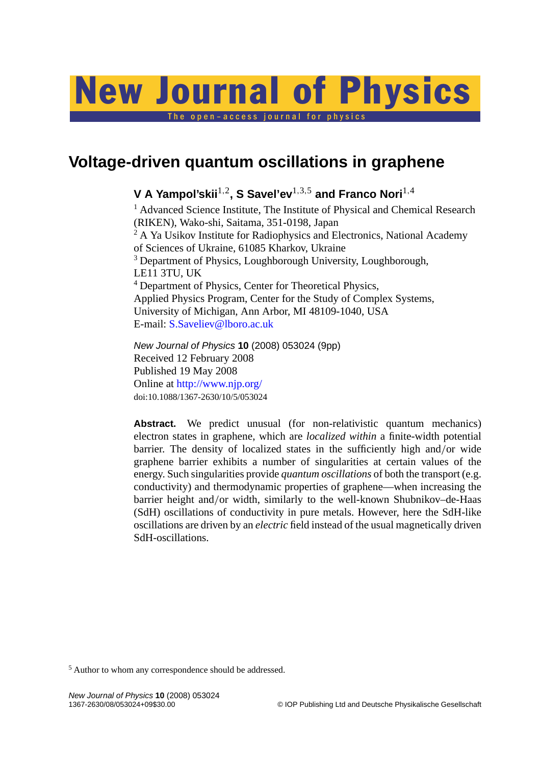# New Journal of Physics

The open-access journal for physics

## **Voltage-driven quantum oscillations in graphene**

### **V A Yampol'skii**1,<sup>2</sup> **, S Savel'ev**1,3,<sup>5</sup> **and Franco Nori**1,<sup>4</sup>

<sup>1</sup> Advanced Science Institute, The Institute of Physical and Chemical Research (RIKEN), Wako-shi, Saitama, 351-0198, Japan <sup>2</sup> A Ya Usikov Institute for Radiophysics and Electronics, National Academy of Sciences of Ukraine, 61085 Kharkov, Ukraine <sup>3</sup> Department of Physics, Loughborough University, Loughborough, LE11 3TU, UK <sup>4</sup> Department of Physics, Center for Theoretical Physics, Applied Physics Program, Center for the Study of Complex Systems, University of Michigan, Ann Arbor, MI 48109-1040, USA E-mail: [S.Saveliev@lboro.ac.uk](mailto:S.Saveliev@lboro.ac.uk)

New Journal of Physics **10** (2008) 053024 (9pp) Received 12 February 2008 Published 19 May 2008 Online at <http://www.njp.org/> doi:10.1088/1367-2630/10/5/053024

Abstract. We predict unusual (for non-relativistic quantum mechanics) electron states in graphene, which are *localized within* a finite-width potential barrier. The density of localized states in the sufficiently high and/or wide graphene barrier exhibits a number of singularities at certain values of the energy. Such singularities provide *quantum oscillations* of both the transport (e.g. conductivity) and thermodynamic properties of graphene—when increasing the barrier height and/or width, similarly to the well-known Shubnikov–de-Haas (SdH) oscillations of conductivity in pure metals. However, here the SdH-like oscillations are driven by an *electric* field instead of the usual magnetically driven SdH-oscillations.

<sup>5</sup> Author to whom any correspondence should be addressed.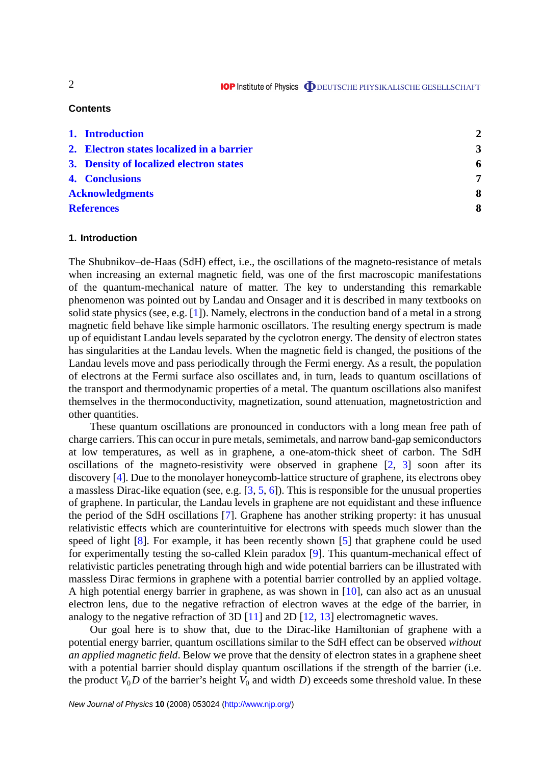#### **Contents**

| 1. Introduction                           | $\mathbf{2}$ |
|-------------------------------------------|--------------|
| 2. Electron states localized in a barrier | 3            |
| 3. Density of localized electron states   | 6            |
| 4. Conclusions                            | 7            |
| <b>Acknowledgments</b>                    | 8            |
| <b>References</b>                         | 8            |

#### **1. Introduction**

The Shubnikov–de-Haas (SdH) effect, i.e., the oscillations of the magneto-resistance of metals when increasing an external magnetic field, was one of the first macroscopic manifestations of the quantum-mechanical nature of matter. The key to understanding this remarkable phenomenon was pointed out by Landau and Onsager and it is described in many textbooks on solid state physics (see, e.g. [\[1\]](#page-7-0)). Namely, electrons in the conduction band of a metal in a strong magnetic field behave like simple harmonic oscillators. The resulting energy spectrum is made up of equidistant Landau levels separated by the cyclotron energy. The density of electron states has singularities at the Landau levels. When the magnetic field is changed, the positions of the Landau levels move and pass periodically through the Fermi energy. As a result, the population of electrons at the Fermi surface also oscillates and, in turn, leads to quantum oscillations of the transport and thermodynamic properties of a metal. The quantum oscillations also manifest themselves in the thermoconductivity, magnetization, sound attenuation, magnetostriction and other quantities.

These quantum oscillations are pronounced in conductors with a long mean free path of charge carriers. This can occur in pure metals, semimetals, and narrow band-gap semiconductors at low temperatures, as well as in graphene, a one-atom-thick sheet of carbon. The SdH oscillations of the magneto-resistivity were observed in graphene  $[2, 3]$  $[2, 3]$  $[2, 3]$  soon after its discovery [\[4\]](#page-7-0). Due to the monolayer honeycomb-lattice structure of graphene, its electrons obey a massless Dirac-like equation (see, e.g. [\[3,](#page-7-0) [5,](#page-7-0) [6\]](#page-8-0)). This is responsible for the unusual properties of graphene. In particular, the Landau levels in graphene are not equidistant and these influence the period of the SdH oscillations [\[7\]](#page-8-0). Graphene has another striking property: it has unusual relativistic effects which are counterintuitive for electrons with speeds much slower than the speed of light [\[8\]](#page-8-0). For example, it has been recently shown [\[5\]](#page-7-0) that graphene could be used for experimentally testing the so-called Klein paradox [\[9\]](#page-8-0). This quantum-mechanical effect of relativistic particles penetrating through high and wide potential barriers can be illustrated with massless Dirac fermions in graphene with a potential barrier controlled by an applied voltage. A high potential energy barrier in graphene, as was shown in [\[10\]](#page-8-0), can also act as an unusual electron lens, due to the negative refraction of electron waves at the edge of the barrier, in analogy to the negative refraction of 3D [\[11\]](#page-8-0) and 2D [\[12,](#page-8-0) [13\]](#page-8-0) electromagnetic waves.

Our goal here is to show that, due to the Dirac-like Hamiltonian of graphene with a potential energy barrier, quantum oscillations similar to the SdH effect can be observed *without an applied magnetic field*. Below we prove that the density of electron states in a graphene sheet with a potential barrier should display quantum oscillations if the strength of the barrier (i.e. the product  $V_0D$  of the barrier's height  $V_0$  and width *D*) exceeds some threshold value. In these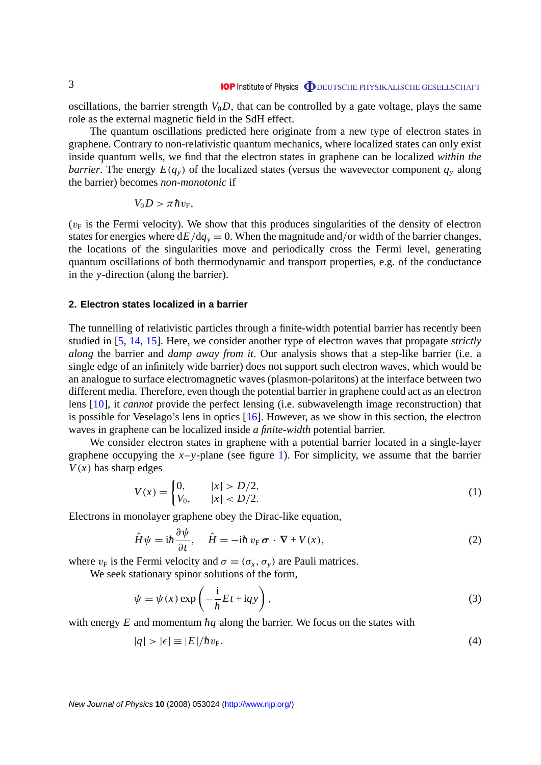<span id="page-2-0"></span>oscillations, the barrier strength  $V_0D$ , that can be controlled by a gate voltage, plays the same role as the external magnetic field in the SdH effect.

The quantum oscillations predicted here originate from a new type of electron states in graphene. Contrary to non-relativistic quantum mechanics, where localized states can only exist inside quantum wells, we find that the electron states in graphene can be localized *within the barrier*. The energy  $E(q_y)$  of the localized states (versus the wavevector component  $q_y$  along the barrier) becomes *non-monotonic* if

$$
V_0 D > \pi \hbar v_{\rm F},
$$

 $(v<sub>F</sub>$  is the Fermi velocity). We show that this produces singularities of the density of electron states for energies where  $dE/dq_y = 0$ . When the magnitude and/or width of the barrier changes, the locations of the singularities move and periodically cross the Fermi level, generating quantum oscillations of both thermodynamic and transport properties, e.g. of the conductance in the *y*-direction (along the barrier).

#### **2. Electron states localized in a barrier**

The tunnelling of relativistic particles through a finite-width potential barrier has recently been studied in [\[5,](#page-7-0) [14,](#page-8-0) [15\]](#page-8-0). Here, we consider another type of electron waves that propagate *strictly along* the barrier and *damp away from it*. Our analysis shows that a step-like barrier (i.e. a single edge of an infinitely wide barrier) does not support such electron waves, which would be an analogue to surface electromagnetic waves (plasmon-polaritons) at the interface between two different media. Therefore, even though the potential barrier in graphene could act as an electron lens [\[10\]](#page-8-0), it *cannot* provide the perfect lensing (i.e. subwavelength image reconstruction) that is possible for Veselago's lens in optics [\[16\]](#page-8-0). However, as we show in this section, the electron waves in graphene can be localized inside *a finite-width* potential barrier.

We consider electron states in graphene with a potential barrier located in a single-layer graphene occupying the  $x-y$ -plane (see figure [1\)](#page-3-0). For simplicity, we assume that the barrier  $V(x)$  has sharp edges

$$
V(x) = \begin{cases} 0, & |x| > D/2, \\ V_0, & |x| < D/2. \end{cases}
$$
 (1)

Electrons in monolayer graphene obey the Dirac-like equation,

$$
\hat{H}\psi = i\hbar \frac{\partial \psi}{\partial t}, \quad \hat{H} = -i\hbar v_{\rm F} \boldsymbol{\sigma} \cdot \nabla + V(x), \tag{2}
$$

where  $v_F$  is the Fermi velocity and  $\sigma = (\sigma_x, \sigma_y)$  are Pauli matrices.

We seek stationary spinor solutions of the form,

$$
\psi = \psi(x) \exp\left(-\frac{i}{\hbar}Et + iqy\right),\tag{3}
$$

with energy  $E$  and momentum  $\hbar q$  along the barrier. We focus on the states with

$$
|q| > |\epsilon| \equiv |E|/\hbar v_{\rm F}.\tag{4}
$$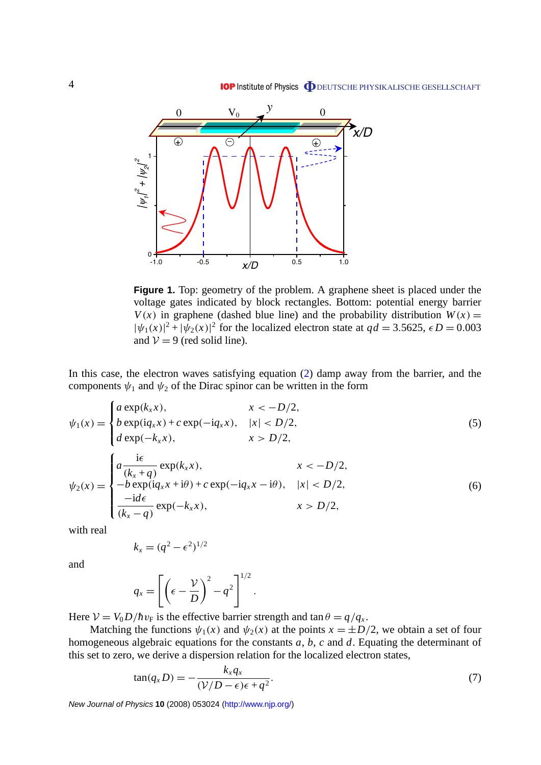<span id="page-3-0"></span>

**Figure 1.** Top: geometry of the problem. A graphene sheet is placed under the voltage gates indicated by block rectangles. Bottom: potential energy barrier  $V(x)$  in graphene (dashed blue line) and the probability distribution  $W(x) =$  $|\psi_1(x)|^2 + |\psi_2(x)|^2$  for the localized electron state at  $qd = 3.5625$ ,  $\epsilon D = 0.003$ and  $V = 9$  (red solid line).

In this case, the electron waves satisfying equation [\(2\)](#page-2-0) damp away from the barrier, and the components  $\psi_1$  and  $\psi_2$  of the Dirac spinor can be written in the form

$$
\psi_1(x) = \begin{cases}\na \exp(k_x x), & x < -D/2, \\
b \exp(iq_x x) + c \exp(-iq_x x), & |x| < D/2, \\
d \exp(-k_x x), & x > D/2, \\
\frac{\mathrm{i}\epsilon}{(k_x + q)} \exp(k_x x), & x < -D/2, \\
-b \exp(iq_x x + i\theta) + c \exp(-iq_x x - i\theta), & |x| < D/2, \\
\frac{-\mathrm{i}d\epsilon}{(k_x - q)} \exp(-k_x x), & x > D/2,\n\end{cases}\n\tag{6}
$$

with real

$$
k_x = (q^2 - \epsilon^2)^{1/2}
$$

and

$$
q_x = \left[ \left( \epsilon - \frac{\mathcal{V}}{D} \right)^2 - q^2 \right]^{1/2}.
$$

Here  $V = V_0 D/\hbar v_F$  is the effective barrier strength and tan  $\theta = q/q_x$ .

Matching the functions  $\psi_1(x)$  and  $\psi_2(x)$  at the points  $x = \pm D/2$ , we obtain a set of four homogeneous algebraic equations for the constants *a*, *b*, *c* and *d*. Equating the determinant of this set to zero, we derive a dispersion relation for the localized electron states,

$$
tan(q_x D) = -\frac{k_x q_x}{(\mathcal{V}/D - \epsilon)\epsilon + q^2}.
$$
\n(7)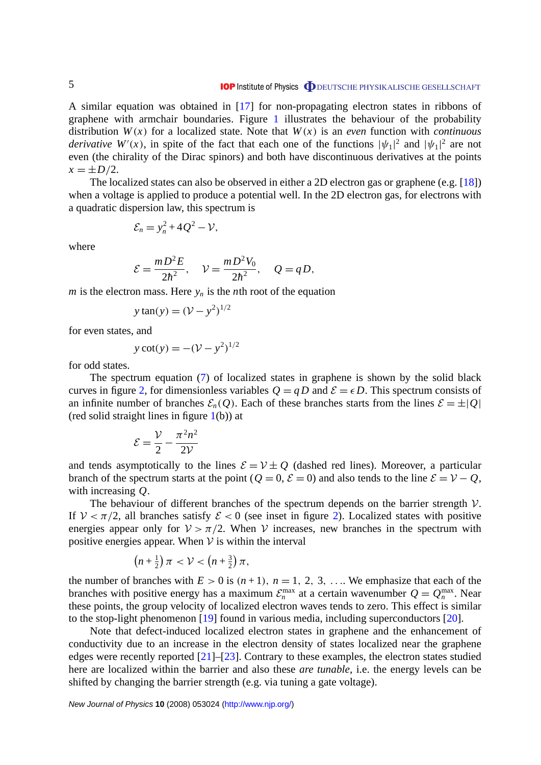A similar equation was obtained in [\[17\]](#page-8-0) for non-propagating electron states in ribbons of graphene with armchair boundaries. Figure [1](#page-3-0) illustrates the behaviour of the probability distribution *W*(*x*) for a localized state. Note that *W*(*x*) is an *even* function with *continuous derivative*  $W'(x)$ , in spite of the fact that each one of the functions  $|\psi_1|^2$  and  $|\psi_1|^2$  are not even (the chirality of the Dirac spinors) and both have discontinuous derivatives at the points  $x = \pm D/2$ .

The localized states can also be observed in either a 2D electron gas or graphene (e.g. [\[18\]](#page-8-0)) when a voltage is applied to produce a potential well. In the 2D electron gas, for electrons with a quadratic dispersion law, this spectrum is

$$
\mathcal{E}_n = y_n^2 + 4Q^2 - \mathcal{V},
$$

where

$$
\mathcal{E} = \frac{mD^2E}{2\hbar^2}, \quad \mathcal{V} = \frac{mD^2V_0}{2\hbar^2}, \quad Q = qD,
$$

*m* is the electron mass. Here  $y_n$  is the *n*th root of the equation

$$
y \tan(y) = (\mathcal{V} - y^2)^{1/2}
$$

for even states, and

$$
y \cot(y) = -(\mathcal{V} - y^2)^{1/2}
$$

for odd states.

The spectrum equation [\(7\)](#page-3-0) of localized states in graphene is shown by the solid black curves in figure [2,](#page-5-0) for dimensionless variables  $Q = qD$  and  $\mathcal{E} = \epsilon D$ . This spectrum consists of an infinite number of branches  $\mathcal{E}_n(Q)$ . Each of these branches starts from the lines  $\mathcal{E} = \pm |Q|$ (red solid straight lines in figure  $1(b)$  $1(b)$ ) at

$$
\mathcal{E} = \frac{\mathcal{V}}{2} - \frac{\pi^2 n^2}{2\mathcal{V}}
$$

and tends asymptotically to the lines  $\mathcal{E} = \mathcal{V} \pm \mathcal{O}$  (dashed red lines). Moreover, a particular branch of the spectrum starts at the point ( $Q = 0$ ,  $\mathcal{E} = 0$ ) and also tends to the line  $\mathcal{E} = \mathcal{V} - Q$ , with increasing *Q*.

The behaviour of different branches of the spectrum depends on the barrier strength  $V$ . If  $V < \pi/2$ , all branches satisfy  $\mathcal{E} < 0$  (see inset in figure [2\)](#page-5-0). Localized states with positive energies appear only for  $V > \pi/2$ . When V increases, new branches in the spectrum with positive energies appear. When  $V$  is within the interval

$$
\left(n+\frac{1}{2}\right)\pi < \mathcal{V} < \left(n+\frac{3}{2}\right)\pi,
$$

the number of branches with  $E > 0$  is  $(n + 1)$ ,  $n = 1, 2, 3, \ldots$ . We emphasize that each of the branches with positive energy has a maximum  $\mathcal{E}_n^{\max}$  at a certain wavenumber  $Q = Q_n^{\max}$ . Near these points, the group velocity of localized electron waves tends to zero. This effect is similar to the stop-light phenomenon [\[19\]](#page-8-0) found in various media, including superconductors [\[20\]](#page-8-0).

Note that defect-induced localized electron states in graphene and the enhancement of conductivity due to an increase in the electron density of states localized near the graphene edges were recently reported [\[21\]](#page-8-0)–[\[23\]](#page-8-0). Contrary to these examples, the electron states studied here are localized within the barrier and also these *are tunable*, i.e. the energy levels can be shifted by changing the barrier strength (e.g. via tuning a gate voltage).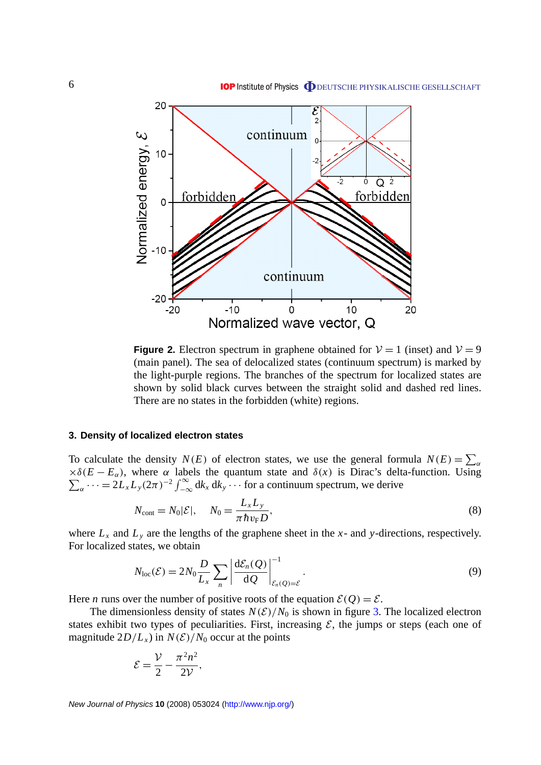<span id="page-5-0"></span>

**Figure 2.** Electron spectrum in graphene obtained for  $V = 1$  (inset) and  $V = 9$ (main panel). The sea of delocalized states (continuum spectrum) is marked by the light-purple regions. The branches of the spectrum for localized states are shown by solid black curves between the straight solid and dashed red lines. There are no states in the forbidden (white) regions.

#### **3. Density of localized electron states**

To calculate the density  $N(E)$  of electron states, we use the general formula  $N(E) = \sum_{\alpha}$  $\times \delta(E - E_{\alpha})$ , where  $\alpha$  labels the quantum state and  $\delta(x)$  is Dirac's delta-function. Using  $\sum_{\alpha} \cdots = 2L_x L_y (2\pi)^{-2} \int_{-\infty}^{\infty} dk_x dk_y \cdots$  for a continuum spectrum, we derive

$$
N_{\text{cont}} = N_0|\mathcal{E}|, \quad N_0 = \frac{L_x L_y}{\pi \hbar v_{\text{F}} D},\tag{8}
$$

where  $L_x$  and  $L_y$  are the lengths of the graphene sheet in the *x*- and *y*-directions, respectively. For localized states, we obtain

$$
N_{\rm loc}(\mathcal{E}) = 2N_0 \frac{D}{L_x} \sum_n \left| \frac{d\mathcal{E}_n(Q)}{dQ} \right|_{\mathcal{E}_n(Q) = \mathcal{E}}^{-1}.
$$
\n(9)

Here *n* runs over the number of positive roots of the equation  $\mathcal{E}(Q) = \mathcal{E}$ .

The dimensionless density of states  $N(\mathcal{E})/N_0$  is shown in figure [3.](#page-6-0) The localized electron states exhibit two types of peculiarities. First, increasing  $\mathcal{E}$ , the jumps or steps (each one of magnitude  $2D/L_x$ ) in  $N(\mathcal{E})/N_0$  occur at the points

$$
\mathcal{E} = \frac{\mathcal{V}}{2} - \frac{\pi^2 n^2}{2\mathcal{V}},
$$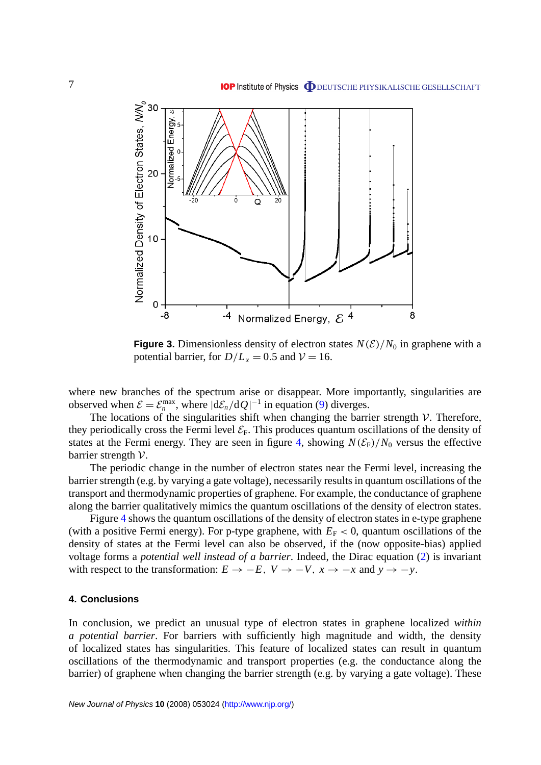<span id="page-6-0"></span>

**Figure 3.** Dimensionless density of electron states  $N(\mathcal{E})/N_0$  in graphene with a potential barrier, for  $D/L_x = 0.5$  and  $V = 16$ .

where new branches of the spectrum arise or disappear. More importantly, singularities are observed when  $\mathcal{E} = \mathcal{E}_n^{\text{max}}$ , where  $|d\mathcal{E}_n/dQ|^{-1}$  in equation [\(9\)](#page-5-0) diverges.

The locations of the singularities shift when changing the barrier strength  $V$ . Therefore, they periodically cross the Fermi level  $\mathcal{E}_F$ . This produces quantum oscillations of the density of states at the Fermi energy. They are seen in figure [4,](#page-7-0) showing  $N(\mathcal{E}_F)/N_0$  versus the effective barrier strength V.

The periodic change in the number of electron states near the Fermi level, increasing the barrier strength (e.g. by varying a gate voltage), necessarily results in quantum oscillations of the transport and thermodynamic properties of graphene. For example, the conductance of graphene along the barrier qualitatively mimics the quantum oscillations of the density of electron states.

Figure [4](#page-7-0) shows the quantum oscillations of the density of electron states in e-type graphene (with a positive Fermi energy). For p-type graphene, with  $E_F < 0$ , quantum oscillations of the density of states at the Fermi level can also be observed, if the (now opposite-bias) applied voltage forms a *potential well instead of a barrier*. Indeed, the Dirac equation [\(2\)](#page-2-0) is invariant with respect to the transformation:  $E \to -E$ ,  $V \to -V$ ,  $x \to -x$  and  $y \to -y$ .

#### **4. Conclusions**

In conclusion, we predict an unusual type of electron states in graphene localized *within a potential barrier*. For barriers with sufficiently high magnitude and width, the density of localized states has singularities. This feature of localized states can result in quantum oscillations of the thermodynamic and transport properties (e.g. the conductance along the barrier) of graphene when changing the barrier strength (e.g. by varying a gate voltage). These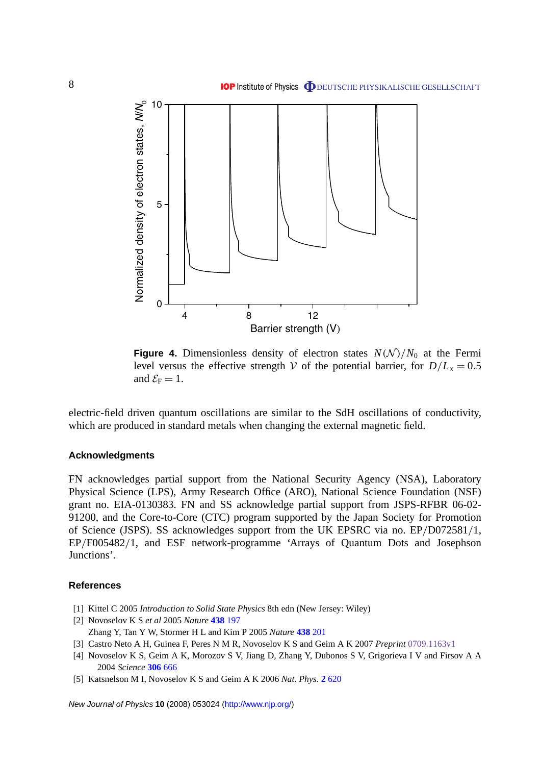<span id="page-7-0"></span>

**Figure 4.** Dimensionless density of electron states  $N(N)/N_0$  at the Fermi level versus the effective strength V of the potential barrier, for  $D/L_x = 0.5$ and  $\mathcal{E}_F = 1$ .

electric-field driven quantum oscillations are similar to the SdH oscillations of conductivity, which are produced in standard metals when changing the external magnetic field.

#### **Acknowledgments**

FN acknowledges partial support from the National Security Agency (NSA), Laboratory Physical Science (LPS), Army Research Office (ARO), National Science Foundation (NSF) grant no. EIA-0130383. FN and SS acknowledge partial support from JSPS-RFBR 06-02- 91200, and the Core-to-Core (CTC) program supported by the Japan Society for Promotion of Science (JSPS). SS acknowledges support from the UK EPSRC via no. EP/D072581/1, EP/F005482/1, and ESF network-programme 'Arrays of Quantum Dots and Josephson Junctions'.

#### **References**

- [1] Kittel C 2005 *Introduction to Solid State Physics* 8th edn (New Jersey: Wiley)
- [2] Novoselov K S *et al* 2005 *Nature* **[438](http://dx.doi.org/10.1038/nature04233)** 197 Zhang Y, Tan Y W, Stormer H L and Kim P 2005 *Nature* **[438](http://dx.doi.org/10.1038/nature04235)** 201
- [3] Castro Neto A H, Guinea F, Peres N M R, Novoselov K S and Geim A K 2007 *Preprint* [0709.1163v1](http://arxiv.org/abs/0709.1163v1)
- [4] Novoselov K S, Geim A K, Morozov S V, Jiang D, Zhang Y, Dubonos S V, Grigorieva I V and Firsov A A 2004 *Science* **[306](http://dx.doi.org/10.1126/science.1102896)** 666
- [5] Katsnelson M I, Novoselov K S and Geim A K 2006 *Nat. Phys.* **2** [620](http://dx.doi.org/10.1038/nphys384)